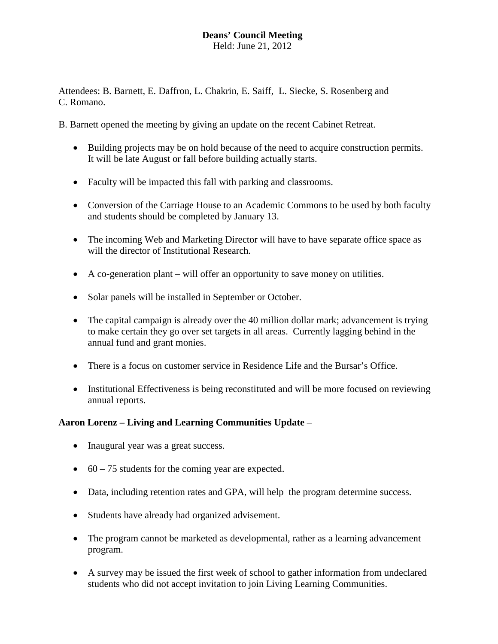# **Deans' Council Meeting**

Held: June 21, 2012

Attendees: B. Barnett, E. Daffron, L. Chakrin, E. Saiff, L. Siecke, S. Rosenberg and C. Romano.

B. Barnett opened the meeting by giving an update on the recent Cabinet Retreat.

- Building projects may be on hold because of the need to acquire construction permits. It will be late August or fall before building actually starts.
- Faculty will be impacted this fall with parking and classrooms.
- Conversion of the Carriage House to an Academic Commons to be used by both faculty and students should be completed by January 13.
- The incoming Web and Marketing Director will have to have separate office space as will the director of Institutional Research.
- A co-generation plant will offer an opportunity to save money on utilities.
- Solar panels will be installed in September or October.
- The capital campaign is already over the 40 million dollar mark; advancement is trying to make certain they go over set targets in all areas. Currently lagging behind in the annual fund and grant monies.
- There is a focus on customer service in Residence Life and the Bursar's Office.
- Institutional Effectiveness is being reconstituted and will be more focused on reviewing annual reports.

## **Aaron Lorenz – Living and Learning Communities Update** –

- Inaugural year was a great success.
- 60 75 students for the coming year are expected.
- Data, including retention rates and GPA, will help the program determine success.
- Students have already had organized advisement.
- The program cannot be marketed as developmental, rather as a learning advancement program.
- A survey may be issued the first week of school to gather information from undeclared students who did not accept invitation to join Living Learning Communities.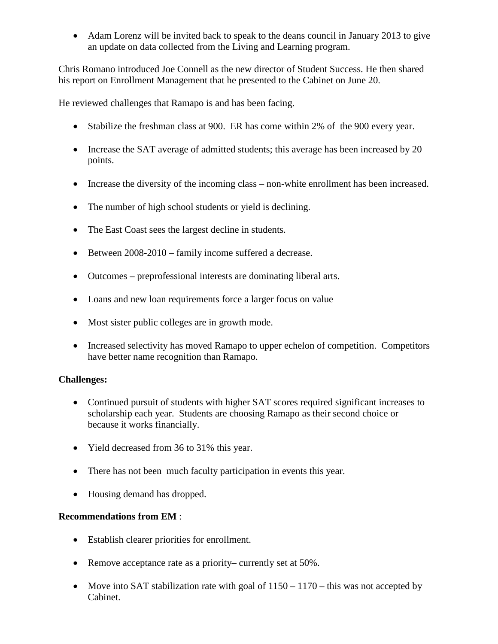• Adam Lorenz will be invited back to speak to the deans council in January 2013 to give an update on data collected from the Living and Learning program.

Chris Romano introduced Joe Connell as the new director of Student Success. He then shared his report on Enrollment Management that he presented to the Cabinet on June 20.

He reviewed challenges that Ramapo is and has been facing.

- Stabilize the freshman class at 900. ER has come within 2% of the 900 every year.
- Increase the SAT average of admitted students; this average has been increased by 20 points.
- Increase the diversity of the incoming class non-white enrollment has been increased.
- The number of high school students or yield is declining.
- The East Coast sees the largest decline in students.
- Between 2008-2010 family income suffered a decrease.
- Outcomes preprofessional interests are dominating liberal arts.
- Loans and new loan requirements force a larger focus on value
- Most sister public colleges are in growth mode.
- Increased selectivity has moved Ramapo to upper echelon of competition. Competitors have better name recognition than Ramapo.

## **Challenges:**

- Continued pursuit of students with higher SAT scores required significant increases to scholarship each year. Students are choosing Ramapo as their second choice or because it works financially.
- Yield decreased from 36 to 31% this year.
- There has not been much faculty participation in events this year.
- Housing demand has dropped.

## **Recommendations from EM** :

- Establish clearer priorities for enrollment.
- Remove acceptance rate as a priority– currently set at 50%.
- Move into SAT stabilization rate with goal of  $1150 1170$  this was not accepted by Cabinet.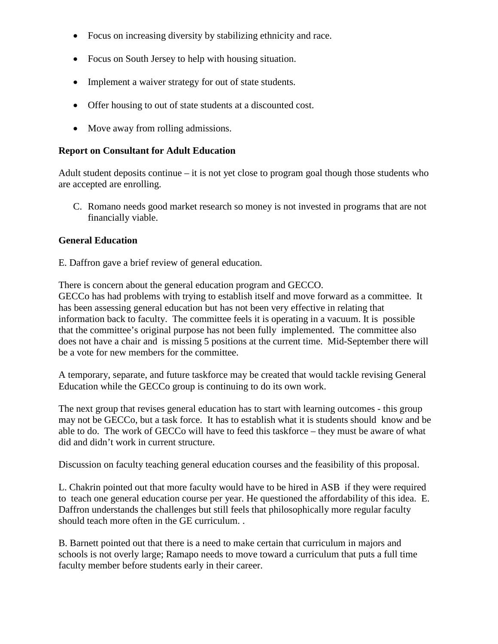- Focus on increasing diversity by stabilizing ethnicity and race.
- Focus on South Jersey to help with housing situation.
- Implement a waiver strategy for out of state students.
- Offer housing to out of state students at a discounted cost.
- Move away from rolling admissions.

#### **Report on Consultant for Adult Education**

Adult student deposits continue – it is not yet close to program goal though those students who are accepted are enrolling.

C. Romano needs good market research so money is not invested in programs that are not financially viable.

#### **General Education**

E. Daffron gave a brief review of general education.

There is concern about the general education program and GECCO. GECCo has had problems with trying to establish itself and move forward as a committee. It has been assessing general education but has not been very effective in relating that information back to faculty. The committee feels it is operating in a vacuum. It is possible that the committee's original purpose has not been fully implemented. The committee also does not have a chair and is missing 5 positions at the current time. Mid-September there will be a vote for new members for the committee.

A temporary, separate, and future taskforce may be created that would tackle revising General Education while the GECCo group is continuing to do its own work.

The next group that revises general education has to start with learning outcomes - this group may not be GECCo, but a task force. It has to establish what it is students should know and be able to do. The work of GECCo will have to feed this taskforce – they must be aware of what did and didn't work in current structure.

Discussion on faculty teaching general education courses and the feasibility of this proposal.

L. Chakrin pointed out that more faculty would have to be hired in ASB if they were required to teach one general education course per year. He questioned the affordability of this idea. E. Daffron understands the challenges but still feels that philosophically more regular faculty should teach more often in the GE curriculum. .

B. Barnett pointed out that there is a need to make certain that curriculum in majors and schools is not overly large; Ramapo needs to move toward a curriculum that puts a full time faculty member before students early in their career.